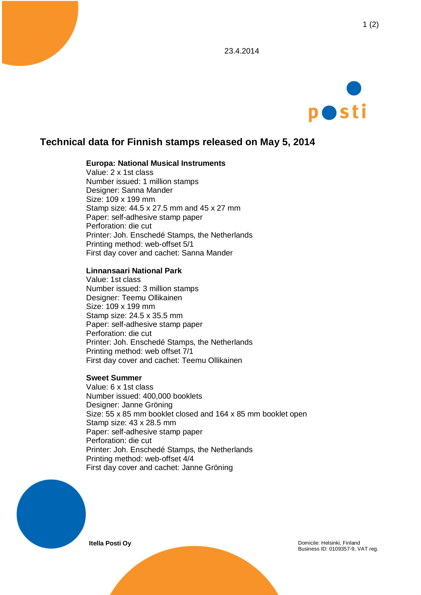



# **Technical data for Finnish stamps released on May 5, 2014**

### **Europa: National Musical Instruments**

Value: 2 x 1st class Number issued: 1 million stamps Designer: Sanna Mander Size: 109 x 199 mm Stamp size: 44.5 x 27.5 mm and 45 x 27 mm Paper: self-adhesive stamp paper Perforation: die cut Printer: Joh. Enschedé Stamps, the Netherlands Printing method: web-offset 5/1 First day cover and cachet: Sanna Mander

#### **Linnansaari National Park**

Value: 1st class Number issued: 3 million stamps Designer: Teemu Ollikainen Size: 109 x 199 mm Stamp size: 24.5 x 35.5 mm Paper: self-adhesive stamp paper Perforation: die cut Printer: Joh. Enschedé Stamps, the Netherlands Printing method: web offset 7/1 First day cover and cachet: Teemu Ollikainen

#### **Sweet Summer**

Value: 6 x 1st class Number issued: 400,000 booklets Designer: Janne Gröning Size: 55 x 85 mm booklet closed and 164 x 85 mm booklet open Stamp size: 43 x 28.5 mm Paper: self-adhesive stamp paper Perforation: die cut Printer: Joh. Enschedé Stamps, the Netherlands Printing method: web-offset 4/4 First day cover and cachet: Janne Gröning



**Itella Posti Oy Domicile: Helsinki, Finland** Business ID: 0109357-9, VAT reg.